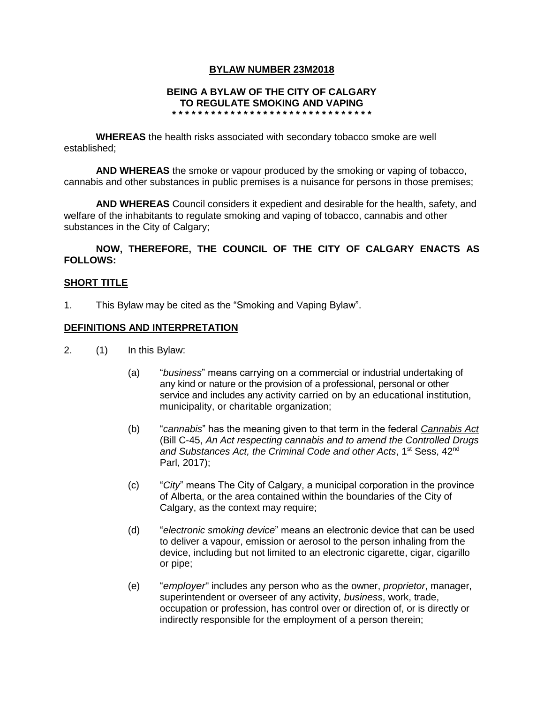## **BYLAW NUMBER 23M2018**

### **BEING A BYLAW OF THE CITY OF CALGARY TO REGULATE SMOKING AND VAPING**

**\* \* \* \* \* \* \* \* \* \* \* \* \* \* \* \* \* \* \* \* \* \* \* \* \* \* \* \* \* \* \***

**WHEREAS** the health risks associated with secondary tobacco smoke are well established;

**AND WHEREAS** the smoke or vapour produced by the smoking or vaping of tobacco, cannabis and other substances in public premises is a nuisance for persons in those premises;

**AND WHEREAS** Council considers it expedient and desirable for the health, safety, and welfare of the inhabitants to regulate smoking and vaping of tobacco, cannabis and other substances in the City of Calgary;

**NOW, THEREFORE, THE COUNCIL OF THE CITY OF CALGARY ENACTS AS FOLLOWS:**

### **SHORT TITLE**

1. This Bylaw may be cited as the "Smoking and Vaping Bylaw".

### **DEFINITIONS AND INTERPRETATION**

- 2. (1) In this Bylaw:
	- (a) "*business*" means carrying on a commercial or industrial undertaking of any kind or nature or the provision of a professional, personal or other service and includes any activity carried on by an educational institution, municipality, or charitable organization;
	- (b) "*cannabis*" has the meaning given to that term in the federal *Cannabis Act* (Bill C-45, *An Act respecting cannabis and to amend the Controlled Drugs and Substances Act, the Criminal Code and other Acts*, 1st Sess, 42nd Parl, 2017);
	- (c) "*City*" means The City of Calgary, a municipal corporation in the province of Alberta, or the area contained within the boundaries of the City of Calgary, as the context may require;
	- (d) "*electronic smoking device*" means an electronic device that can be used to deliver a vapour, emission or aerosol to the person inhaling from the device, including but not limited to an electronic cigarette, cigar, cigarillo or pipe;
	- (e) "*employer*" includes any person who as the owner, *proprietor*, manager, superintendent or overseer of any activity, *business*, work, trade, occupation or profession, has control over or direction of, or is directly or indirectly responsible for the employment of a person therein;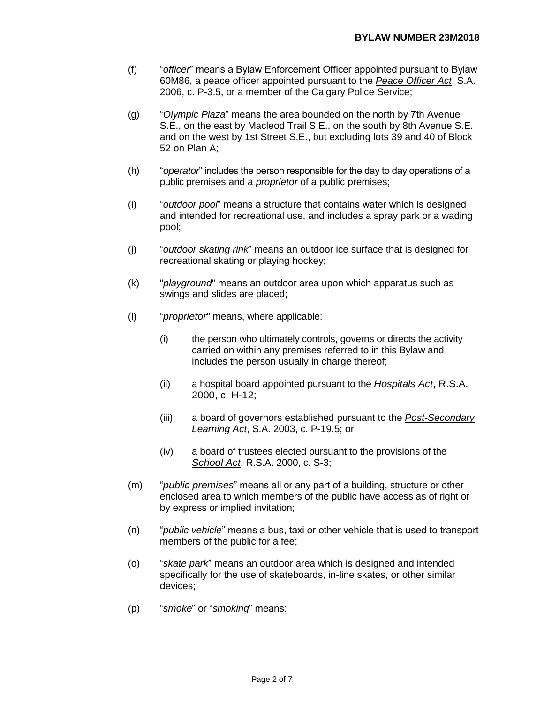- (f) "*officer*" means a Bylaw Enforcement Officer appointed pursuant to Bylaw 60M86, a peace officer appointed pursuant to the *Peace Officer Act*, S.A. 2006, c. P-3.5, or a member of the Calgary Police Service;
- (g) "*Olympic Plaza*" means the area bounded on the north by 7th Avenue S.E., on the east by Macleod Trail S.E., on the south by 8th Avenue S.E. and on the west by 1st Street S.E., but excluding lots 39 and 40 of Block 52 on Plan A;
- (h) "*operator*" includes the person responsible for the day to day operations of a public premises and a *proprietor* of a public premises;
- (i) "*outdoor pool*" means a structure that contains water which is designed and intended for recreational use, and includes a spray park or a wading pool;
- (j) "*outdoor skating rink*" means an outdoor ice surface that is designed for recreational skating or playing hockey;
- (k) "*playground*" means an outdoor area upon which apparatus such as swings and slides are placed;
- (l) "*proprietor*" means, where applicable:
	- (i) the person who ultimately controls, governs or directs the activity carried on within any premises referred to in this Bylaw and includes the person usually in charge thereof;
	- (ii) a hospital board appointed pursuant to the *Hospitals Act*, R.S.A. 2000, c. H-12;
	- (iii) a board of governors established pursuant to the *Post-Secondary Learning Act*, S.A. 2003, c. P-19.5; or
	- (iv) a board of trustees elected pursuant to the provisions of the *School Act*, R.S.A. 2000, c. S-3;
- (m) "*public premises*" means all or any part of a building, structure or other enclosed area to which members of the public have access as of right or by express or implied invitation;
- (n) "*public vehicle*" means a bus, taxi or other vehicle that is used to transport members of the public for a fee;
- (o) "*skate park*" means an outdoor area which is designed and intended specifically for the use of skateboards, in-line skates, or other similar devices;
- (p) "*smoke*" or "*smoking*" means: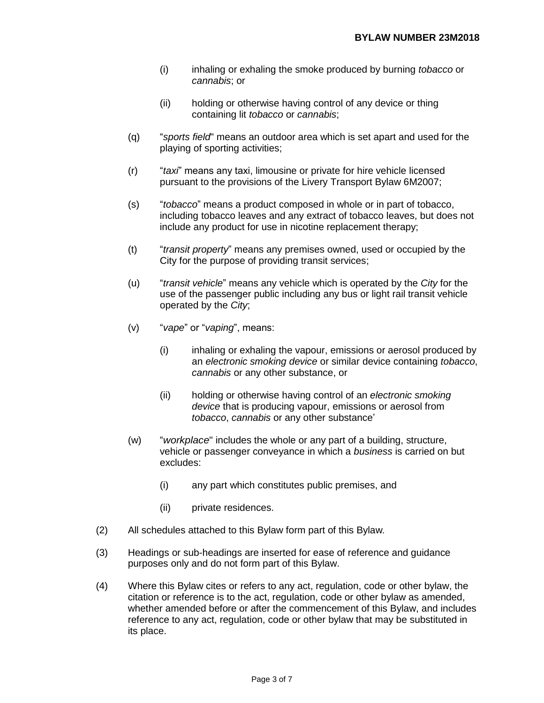- (i) inhaling or exhaling the smoke produced by burning *tobacco* or *cannabis*; or
- (ii) holding or otherwise having control of any device or thing containing lit *tobacco* or *cannabis*;
- (q) "*sports field*" means an outdoor area which is set apart and used for the playing of sporting activities;
- (r) "*taxi*" means any taxi, limousine or private for hire vehicle licensed pursuant to the provisions of the Livery Transport Bylaw 6M2007;
- (s) "*tobacco*" means a product composed in whole or in part of tobacco, including tobacco leaves and any extract of tobacco leaves, but does not include any product for use in nicotine replacement therapy;
- (t) "*transit property*" means any premises owned, used or occupied by the City for the purpose of providing transit services;
- (u) "*transit vehicle*" means any vehicle which is operated by the *City* for the use of the passenger public including any bus or light rail transit vehicle operated by the *City*;
- (v) "*vape*" or "*vaping*", means:
	- (i) inhaling or exhaling the vapour, emissions or aerosol produced by an *electronic smoking device* or similar device containing *tobacco*, *cannabis* or any other substance, or
	- (ii) holding or otherwise having control of an *electronic smoking device* that is producing vapour, emissions or aerosol from *tobacco*, *cannabis* or any other substance'
- (w) "*workplace*" includes the whole or any part of a building, structure, vehicle or passenger conveyance in which a *business* is carried on but excludes:
	- (i) any part which constitutes public premises, and
	- (ii) private residences.
- (2) All schedules attached to this Bylaw form part of this Bylaw*.*
- (3) Headings or sub-headings are inserted for ease of reference and guidance purposes only and do not form part of this Bylaw.
- (4) Where this Bylaw cites or refers to any act, regulation, code or other bylaw, the citation or reference is to the act, regulation, code or other bylaw as amended, whether amended before or after the commencement of this Bylaw, and includes reference to any act, regulation, code or other bylaw that may be substituted in its place.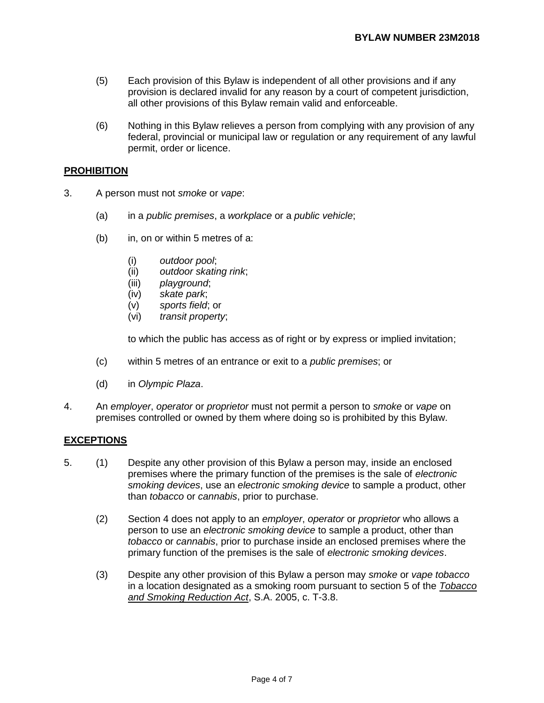- (5) Each provision of this Bylaw is independent of all other provisions and if any provision is declared invalid for any reason by a court of competent jurisdiction, all other provisions of this Bylaw remain valid and enforceable.
- (6) Nothing in this Bylaw relieves a person from complying with any provision of any federal, provincial or municipal law or regulation or any requirement of any lawful permit, order or licence.

### **PROHIBITION**

- 3. A person must not *smoke* or *vape*:
	- (a) in a *public premises*, a *workplace* or a *public vehicle*;
	- (b) in, on or within 5 metres of a:
		- (i) *outdoor pool*;
		- (ii) *outdoor skating rink*;
		- (iii) *playground*;
		- (iv) *skate park*;
		- (v) *sports field*; or
		- (vi) *transit property*;

to which the public has access as of right or by express or implied invitation;

- (c) within 5 metres of an entrance or exit to a *public premises*; or
- (d) in *Olympic Plaza*.
- 4. An *employer*, *operator* or *proprietor* must not permit a person to *smoke* or *vape* on premises controlled or owned by them where doing so is prohibited by this Bylaw.

### **EXCEPTIONS**

- 5. (1) Despite any other provision of this Bylaw a person may, inside an enclosed premises where the primary function of the premises is the sale of *electronic smoking devices*, use an *electronic smoking device* to sample a product, other than *tobacco* or *cannabis*, prior to purchase.
	- (2) Section 4 does not apply to an *employer*, *operator* or *proprietor* who allows a person to use an *electronic smoking device* to sample a product, other than *tobacco* or *cannabis*, prior to purchase inside an enclosed premises where the primary function of the premises is the sale of *electronic smoking devices*.
	- (3) Despite any other provision of this Bylaw a person may *smoke* or *vape tobacco*  in a location designated as a smoking room pursuant to section 5 of the *Tobacco and Smoking Reduction Act*, S.A. 2005, c. T-3.8.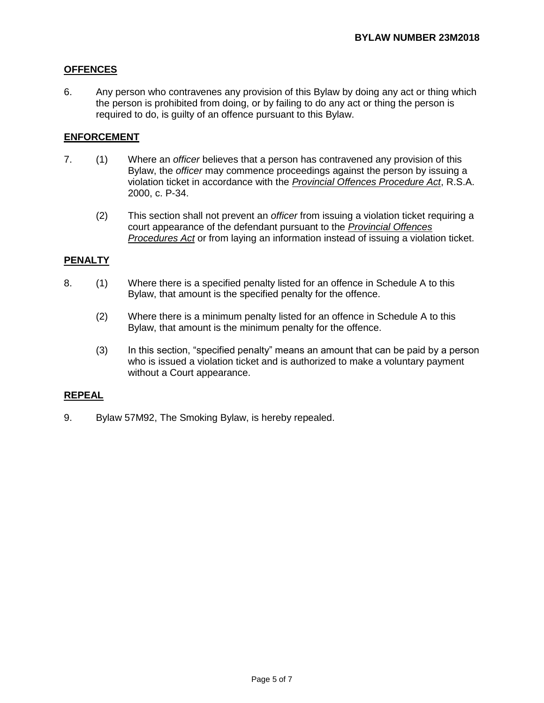# **OFFENCES**

6. Any person who contravenes any provision of this Bylaw by doing any act or thing which the person is prohibited from doing, or by failing to do any act or thing the person is required to do, is guilty of an offence pursuant to this Bylaw.

## **ENFORCEMENT**

- 7. (1) Where an *officer* believes that a person has contravened any provision of this Bylaw, the *officer* may commence proceedings against the person by issuing a violation ticket in accordance with the *Provincial Offences Procedure Act*, R.S.A. 2000, c. P-34.
	- (2) This section shall not prevent an *officer* from issuing a violation ticket requiring a court appearance of the defendant pursuant to the *Provincial Offences Procedures Act* or from laying an information instead of issuing a violation ticket.

### **PENALTY**

- 8. (1) Where there is a specified penalty listed for an offence in Schedule A to this Bylaw, that amount is the specified penalty for the offence.
	- (2) Where there is a minimum penalty listed for an offence in Schedule A to this Bylaw, that amount is the minimum penalty for the offence.
	- (3) In this section, "specified penalty" means an amount that can be paid by a person who is issued a violation ticket and is authorized to make a voluntary payment without a Court appearance.

## **REPEAL**

9. Bylaw 57M92, The Smoking Bylaw, is hereby repealed.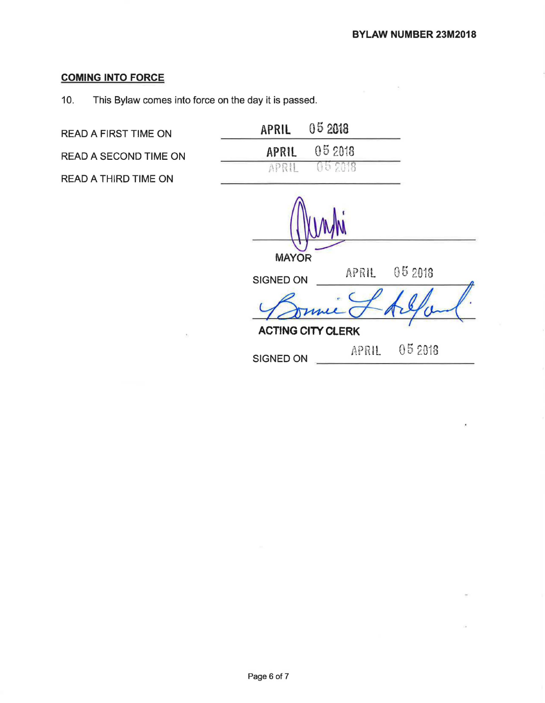# **COMING INTO FORCE**

10. This Bylaw comes into force on the day it is passed.

**READ A FIRST TIME ON** 

READ A SECOND TIME ON

READ A THIRD TIME ON

| 05 2018 |
|---------|
| 05 2018 |
| 052018  |
|         |

MAYOR SIGNED ON **APRIL** 05 2018 Bonnie & Arland. **ACTING CITY CLERK** 052013 APRIL SIGNED ON